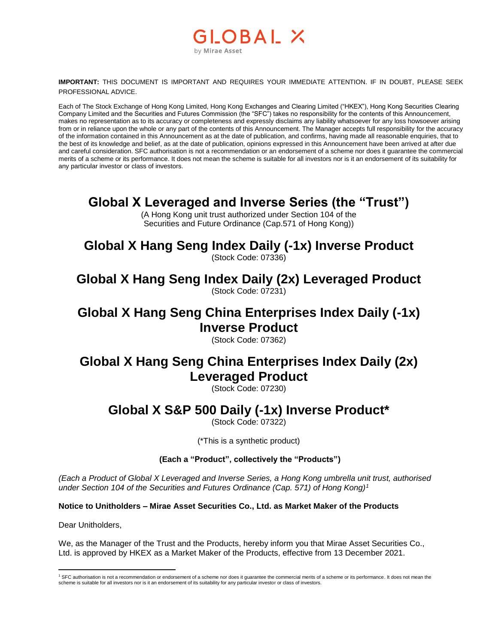#### LOBAL X by Mirae Asset

**IMPORTANT:** THIS DOCUMENT IS IMPORTANT AND REQUIRES YOUR IMMEDIATE ATTENTION. IF IN DOUBT, PLEASE SEEK PROFESSIONAL ADVICE.

Each of The Stock Exchange of Hong Kong Limited, Hong Kong Exchanges and Clearing Limited ("HKEX"), Hong Kong Securities Clearing Company Limited and the Securities and Futures Commission (the "SFC") takes no responsibility for the contents of this Announcement, makes no representation as to its accuracy or completeness and expressly disclaims any liability whatsoever for any loss howsoever arising from or in reliance upon the whole or any part of the contents of this Announcement. The Manager accepts full responsibility for the accuracy of the information contained in this Announcement as at the date of publication, and confirms, having made all reasonable enquiries, that to the best of its knowledge and belief, as at the date of publication, opinions expressed in this Announcement have been arrived at after due and careful consideration. SFC authorisation is not a recommendation or an endorsement of a scheme nor does it guarantee the commercial merits of a scheme or its performance. It does not mean the scheme is suitable for all investors nor is it an endorsement of its suitability for any particular investor or class of investors.

### **Global X Leveraged and Inverse Series (the "Trust")**

(A Hong Kong unit trust authorized under Section 104 of the Securities and Future Ordinance (Cap.571 of Hong Kong))

# **Global X Hang Seng Index Daily (-1x) Inverse Product**

(Stock Code: 07336)

#### **Global X Hang Seng Index Daily (2x) Leveraged Product** (Stock Code: 07231)

# **Global X Hang Seng China Enterprises Index Daily (-1x) Inverse Product**

(Stock Code: 07362)

# **Global X Hang Seng China Enterprises Index Daily (2x) Leveraged Product**

(Stock Code: 07230)

# **Global X S&P 500 Daily (-1x) Inverse Product\***

(Stock Code: 07322)

(\*This is a synthetic product)

#### **(Each a "Product", collectively the "Products")**

*(Each a Product of Global X Leveraged and Inverse Series, a Hong Kong umbrella unit trust, authorised under Section 104 of the Securities and Futures Ordinance (Cap. 571) of Hong Kong)<sup>1</sup>*

**Notice to Unitholders – Mirae Asset Securities Co., Ltd. as Market Maker of the Products**

Dear Unitholders,

We, as the Manager of the Trust and the Products, hereby inform you that Mirae Asset Securities Co., Ltd. is approved by HKEX as a Market Maker of the Products, effective from 13 December 2021.

 $\overline{a}$ <sup>1</sup> SFC authorisation is not a recommendation or endorsement of a scheme nor does it guarantee the commercial merits of a scheme or its performance. It does not mean the scheme is suitable for all investors nor is it an endorsement of its suitability for any particular investor or class of investors.